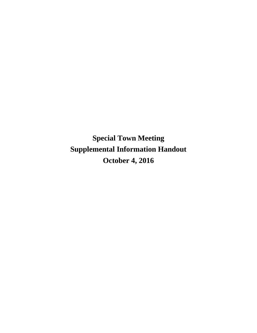**Special Town Meeting Supplemental Information Handout October 4, 2016**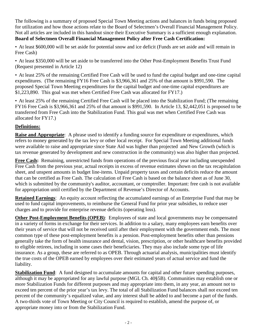The following is a summary of proposed Special Town Meeting actions and balances in funds being proposed for utilization and how those actions relate to the Board of Selectmen's Overall Financial Management Policy. Not all articles are included in this handout since their Executive Summary is a sufficient enough explanation. **Board of Selectmen Overall Financial Management Policy after Free Cash Certification:** 

• At least \$600,000 will be set aside for potential snow and ice deficit (Funds are set aside and will remain in Free Cash)

• At least \$350,000 will be set aside to be transferred into the Other Post-Employment Benefits Trust Fund (Request presented in Article 12)

• At least 25% of the remaining Certified Free Cash will be used to fund the capital budget and one-time capital expenditures. (The remaining FY16 Free Cash is \$3,966,361 and 25% of that amount is \$991,590. The proposed Special Town Meeting expenditures for the capital budget and one-time capital expenditures are \$1,223,890. This goal was met when Certified Free Cash was allocated for FY17.)

• At least 25% of the remaining Certified Free Cash will be placed into the Stabilization Fund; (The remaining FY16 Free Cash is \$3,966,361 and 25% of that amount is \$991,590. In Article 13, \$2,442,051 is proposed to be transferred from Free Cash into the Stabilization Fund. This goal was met when Certified Free Cash was allocated for FY17.)

## **Definitions:**

**Raise and Appropriate:** A phrase used to identify a funding source for expenditure or expenditures, which refers to money generated by the tax levy or other local receipt. For Special Town Meeting additional funds were available to raise and appropriate since State Aid was higher than projected and New Growth (which is tax revenue generated by development and new construction in the community) was also higher than projected.

**Free Cash:** Remaining, unrestricted funds from operations of the previous fiscal year including unexpended Free Cash from the previous year, actual receipts in excess of revenue estimates shown on the tax recapitulation sheet, and unspent amounts in budget line-items. Unpaid property taxes and certain deficits reduce the amount that can be certified as Free Cash. The calculation of Free Cash is based on the balance sheet as of June 30, which is submitted by the community's auditor, accountant, or comptroller. Important: free cash is not available for appropriation until certified by the Department of Revenue's Director of Accounts.

**Retained Earnings**: An equity account reflecting the accumulated earnings of an Enterprise Fund that may be used to fund capital improvements, to reimburse the General Fund for prior year subsidies, to reduce user charges and to provide for enterprise revenue deficits (operating loss).

**Other Post-Employment Benefits (OPEB)**: Employees of state and local governments may be compensated in a variety of forms in exchange for their services. In addition to a salary, many employees earn benefits over their years of service that will not be received until after their employment with the government ends. The most common type of these post-employment benefits is a pension. Post-employment benefits other than pensions generally take the form of health insurance and dental, vision, prescription, or other healthcare benefits provided to eligible retirees, including in some cases their beneficiaries. They may also include some type of life insurance. As a group, these are referred to as OPEB. Through actuarial analysis, municipalities must identify the true costs of the OPEB earned by employees over their estimated years of actual service and fund the liability.

**Stabilization Fund**: A fund designed to accumulate amounts for capital and other future spending purposes, although it may be appropriated for any lawful purpose (MGL Ch. 40§5B). Communities may establish one or more Stabilization Funds for different purposes and may appropriate into them, in any year, an amount not to exceed ten percent of the prior year's tax levy. The total of all Stabilization Fund balances shall not exceed ten percent of the community's equalized value, and any interest shall be added to and become a part of the funds. A two-thirds vote of Town Meeting or City Council is required to establish, amend the purpose of, or appropriate money into or from the Stabilization Fund.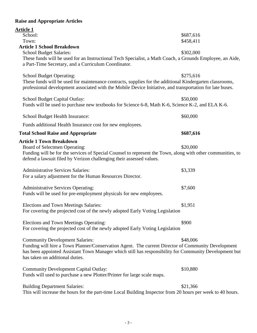# **Raise and Appropriate Articles**

| <b>Article 1</b>                                                                                                        |           |
|-------------------------------------------------------------------------------------------------------------------------|-----------|
| School:                                                                                                                 | \$687,616 |
| Town:                                                                                                                   | \$458,411 |
| <b>Article 1 School Breakdown</b>                                                                                       |           |
| <b>School Budget Salaries:</b>                                                                                          | \$302,000 |
| These funds will be used for an Instructional Tech Specialist, a Math Coach, a Grounds Employee, an Aide,               |           |
| a Part-Time Secretary, and a Curriculum Coordinator.                                                                    |           |
| <b>School Budget Operating:</b>                                                                                         | \$275,616 |
| These funds will be used for maintenance contracts, supplies for the additional Kindergarten classrooms,                |           |
| professional development associated with the Mobile Device Initiative, and transportation for late buses.               |           |
|                                                                                                                         |           |
| School Budget Capital Outlay:                                                                                           | \$50,000  |
| Funds will be used to purchase new textbooks for Science 6-8, Math K-6, Science K-2, and ELA K-6.                       |           |
|                                                                                                                         |           |
| School Budget Health Insurance:                                                                                         | \$60,000  |
| Funds additional Health Insurance cost for new employees.                                                               |           |
| <b>Total School Raise and Appropriate</b>                                                                               | \$687,616 |
| <b>Article 1 Town Breakdown</b>                                                                                         |           |
| Board of Selectmen Operating:                                                                                           | \$20,000  |
| Funding will be for the services of Special Counsel to represent the Town, along with other communities, to             |           |
| defend a lawsuit filed by Verizon challenging their assessed values.                                                    |           |
|                                                                                                                         |           |
| <b>Administrative Services Salaries:</b>                                                                                | \$3,339   |
| For a salary adjustment for the Human Resources Director.                                                               |           |
|                                                                                                                         |           |
| <b>Administrative Services Operating:</b>                                                                               | \$7,600   |
| Funds will be used for pre-employment physicals for new employees.                                                      |           |
| Elections and Town Meetings Salaries:                                                                                   | \$1,951   |
| For covering the projected cost of the newly adopted Early Voting Legislation                                           |           |
|                                                                                                                         |           |
| Elections and Town Meetings Operating:                                                                                  | \$900     |
| For covering the projected cost of the newly adopted Early Voting Legislation                                           |           |
|                                                                                                                         |           |
| <b>Community Development Salaries:</b>                                                                                  | \$48,006  |
| Funding will hire a Town Planner/Conservation Agent. The current Director of Community Development                      |           |
| has been appointed Assistant Town Manager which still has responsibility for Community Development but                  |           |
| has taken on additional duties.                                                                                         |           |
|                                                                                                                         | \$10,880  |
| <b>Community Development Capital Outlay:</b><br>Funds will used to purchase a new Plotter/Printer for large scale maps. |           |
|                                                                                                                         |           |
| <b>Building Department Salaries:</b>                                                                                    | \$21,366  |
| This will increase the hours for the part-time Local Building Inspector from 20 hours per week to 40 hours.             |           |
|                                                                                                                         |           |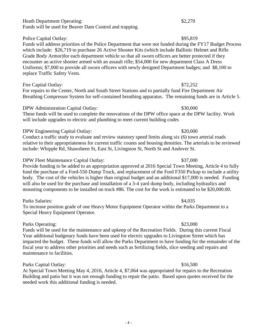### Heath Department Operating: \$2,270 Funds will be used for Beaver Dam Control and trapping.

## Police Capital Outlay:  $$95,819$

## Funds will address priorities of the Police Department that were not funded during the FY17 Budget Process which include: \$26,719 to purchase 26 Active Shooter Kits (which include Ballistic Helmet and Rifle Grade Body Armor)for each department vehicle so that all sworn officers are better protected if they encounter an active shooter armed with an assault rifle; \$54,000 for new department Class A Dress Uniforms; \$7,000 to provide all sworn officers with newly designed Department badges; and \$8,100 to replace Traffic Safety Vests.

### Fire Capital Outlay: \$72,252

For repairs to the Center, North and South Street Stations and to partially fund Fire Department Air Breathing Compressor System for self-contained breathing apparatus. The remaining funds are in Article 5.

## DPW Administration Capital Outlay: \$30,000

These funds will be used to complete the renovations of the DPW office space at the DPW facility. Work will include upgrades to electric and plumbing to meet current building codes

## DPW Engineering Capital Outlay:  $$20,000$

Conduct a traffic study to evaluate and review statutory speed limits along six (6) town arterial roads relative to their appropriateness for current traffic counts and housing densities. The arterials to be reviewed include: Whipple Rd, Shawsheen St, East St, Livingston St, North St and Andover St.

## DPW Fleet Maintenance Capital Outlay: \$37,000

Provide funding to be added to an appropriation approved at 2016 Special Town Meeting, Article 4 to fully fund the purchase of a Ford-550 Dump Truck, and replacement of the Ford F350 Pickup to include a utility body. The cost of the vehicles is higher than original budget and an additional \$17,000 is needed. Funding will also be used for the purchase and installation of a 3-4 yard dump body, including hydraulics and mounting components to be installed on truck #86. The cost for the work is estimated to be \$20,000.00.

## Parks Salaries:  $\frac{1}{4,035}$

To increase position grade of one Heavy Motor Equipment Operator within the Parks Department to a Special Heavy Equipment Operator.

## Parks Operating:  $$23,000$

Funds will be used for the maintenance and upkeep of the Recreation Fields. During this current Fiscal Year additional budgetary funds have been used for electric upgrades to Livingston Street which has impacted the budget. These funds will allow the Parks Department to have funding for the remainder of the fiscal year to address other priorities and needs such as fertilizing fields, slice seeding and repairs and maintenance to facilities.

## Parks Capital Outlay:  $$16,500$

At Special Town Meeting May 4, 2016, Article 4, \$7,064 was appropriated for repairs to the Recreation Building and patio but it was not enough funding to repair the patio. Based upon quotes received for the needed work this additional funding is needed.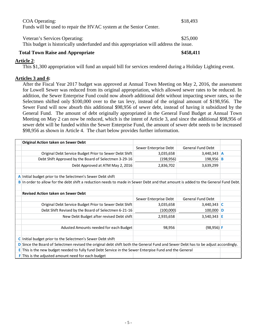| <b>COA Operating:</b>                                                                  | \$18,493  |
|----------------------------------------------------------------------------------------|-----------|
| Funds will be used to repair the HVAC system at the Senior Center.                     |           |
|                                                                                        |           |
| Veteran's Services Operating:                                                          | \$25,000  |
| This budget is historically underfunded and this appropriation will address the issue. |           |
| . . <b>. .</b>                                                                         | 0.170.111 |

| <b>Total Town Raise and Appropriate</b> | \$458,411 |
|-----------------------------------------|-----------|
|                                         |           |

### **Article 2**:

This \$1,300 appropriation will fund an unpaid bill for services rendered during a Holiday Lighting event.

### **Articles 3 and 4:**

After the Fiscal Year 2017 budget was approved at Annual Town Meeting on May 2, 2016, the assessment for Lowell Sewer was reduced from its original appropriation, which allowed sewer rates to be reduced. In addition, the Sewer Enterprise Fund could now absorb additional debt without impacting sewer rates, so the Selectmen shifted only \$100,000 over to the tax levy, instead of the original amount of \$198,956. The Sewer Fund will now absorb this additional \$98,956 of sewer debt, instead of having it subsidized by the General Fund. The amount of debt originally appropriated in the General Fund Budget at Annual Town Meeting on May 2 can now be reduced, which is the intent of Article 3, and since the additional \$98,956 of sewer debt will be funded within the Sewer Enterprise Fund, the amount of sewer debt needs to be increased \$98,956 as shown in Article 4. The chart below provides further information.

| <b>Original Action taken on Sewer Debt</b>                                                                                        |                                                                                                                                 |                          |  |  |
|-----------------------------------------------------------------------------------------------------------------------------------|---------------------------------------------------------------------------------------------------------------------------------|--------------------------|--|--|
|                                                                                                                                   | Sewer Enterprise Debt                                                                                                           | <b>General Fund Debt</b> |  |  |
| Original Debt Service Budget Prior to Sewer Debt Shift                                                                            | 3,035,658                                                                                                                       | $3,440,343$ A            |  |  |
| Debt Shift Approved by the Board of Selectmen 3-29-16                                                                             | (198, 956)                                                                                                                      | 198,956 B                |  |  |
| Debt Approved at ATM May 2, 2016                                                                                                  | 2,836,702                                                                                                                       | 3,639,299                |  |  |
| A Initial budget prior to the Selectmen's Sewer Debt shift                                                                        |                                                                                                                                 |                          |  |  |
| B In order to allow for the debt shift a reduction needs to made in Sewer Debt and that amount is added to the General Fund Debt. |                                                                                                                                 |                          |  |  |
|                                                                                                                                   |                                                                                                                                 |                          |  |  |
| <b>Revised Action taken on Sewer Debt</b>                                                                                         |                                                                                                                                 |                          |  |  |
|                                                                                                                                   | Sewer Enterprise Debt                                                                                                           | <b>General Fund Debt</b> |  |  |
| Original Debt Service Budget Prior to Sewer Debt Shift                                                                            | 3,035,658                                                                                                                       | 3,440,343 $ C $          |  |  |
| Debt Shift Revised by the Board of Selectmen 6-21-16                                                                              | (100,000)                                                                                                                       | 100,000 $\overline{D}$   |  |  |
| New Debt Budget after revised Debt shift                                                                                          | 2,935,658                                                                                                                       | $3,540,343$ E            |  |  |
|                                                                                                                                   |                                                                                                                                 |                          |  |  |
| Adusted Amounts needed for each Budget                                                                                            | 98,956                                                                                                                          | $(98, 956)$ F            |  |  |
|                                                                                                                                   |                                                                                                                                 |                          |  |  |
| C Initial budget prior to the Selectmen's Sewer Debt shift                                                                        |                                                                                                                                 |                          |  |  |
|                                                                                                                                   | Since the Board of Selectmen revised the original debt shift both the General Fund and Sewer Debt has to be adjust accordingly. |                          |  |  |
| This is the new budget needed to fully fund Debt Service in the Sewer Enterpise Fund and the General<br>E.                        |                                                                                                                                 |                          |  |  |
| <b>F</b> This is the adjusted amount need for each budget                                                                         |                                                                                                                                 |                          |  |  |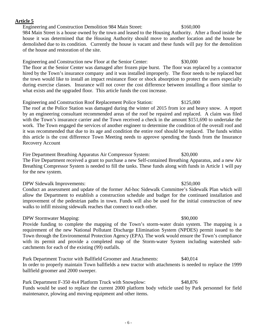### **Article 5**

Engineering and Construction Demolition 984 Main Street: \$160,000

984 Main Street is a house owned by the town and leased to the Housing Authority. After a flood inside the house it was determined that the Housing Authority should move to another location and the house be demolished due to its condition. Currently the house is vacant and these funds will pay for the demolition of the house and restoration of the site.

Engineering and Construction new Floor at the Senior Center: \$30,000 The floor at the Senior Center was damaged after frozen pipe burst. The floor was replaced by a contractor hired by the Town's insurance company and it was installed improperly. The floor needs to be replaced but the town would like to install an impact resistance floor or shock absorption to protect the users especially during exercise classes. Insurance will not cover the cost difference between installing a floor similar to what exists and the upgraded floor. This article funds the cost increase.

Engineering and Construction Roof Replacement Police Station: \$125,000 The roof at the Police Station was damaged during the winter of 2015 from ice and heavy snow. A report by an engineering consultant recommended areas of the roof be repaired and replaced. A claim was filed with the Town's insurance carrier and the Town received a check in the amount \$151,690 to undertake the work. The Town engaged the services of another engineer to determine the condition of the overall roof and it was recommended that due to its age and condition the entire roof should be replaced. The funds within this article is the cost difference Town Meeting needs to approve spending the funds from the Insurance Recovery Account

Fire Department Breathing Apparatus Air Compressor System: \$20,000 The Fire Department received a grant to purchase a new Self-contained Breathing Apparatus, and a new Air Breathing Compressor System is needed to fill the tanks. These funds along with funds in Article 1 will pay for the new system.

### DPW Sidewalk Improvements:  $$250,000$

Conduct an assessment and update of the former Ad-hoc Sidewalk Committee's Sidewalk Plan which will allow the Department to establish a construction schedule and budget for the continued installation and improvement of the pedestrian paths in town. Funds will also be used for the initial construction of new walks to infill missing sidewalk reaches that connect to each other.

## DPW Stormwater Mapping:  $$90,000$

Provide funding to complete the mapping of the Town's storm-water drain system. The mapping is a requirement of the new National Pollutant Discharge Elimination System (NPDES) permit issued to the Town through the Environmental Protection Agency (EPA). The work would ensure the Town's compliance with its permit and provide a completed map of the Storm-water System including watershed subcatchments for each of the existing (99) outfalls.

Park Department Tractor with Ballfield Groomer and Attachments: \$40,014 In order to properly maintain Town ballfields a new tractor with attachments is needed to replace the 1999 ballfield groomer and 2000 sweeper.

Park Department F-350 4x4 Platform Truck with Snowplow: \$48,876 Funds would be used to replace the current 2000 platform body vehicle used by Park personnel for field maintenance, plowing and moving equipment and other items.

### - 6 -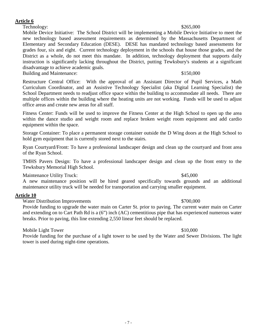### **Article 6**

Technology:  $$265,000$ 

Mobile Device Initiative: The School District will be implementing a Mobile Device Initiative to meet the new technology based assessment requirements as determined by the Massachusetts Department of Elementary and Secondary Education (DESE). DESE has mandated technology based assessments for grades four, six and eight. Current technology deployment in the schools that house those grades, and the District as a whole, do not meet this mandate. In addition, technology deployment that supports daily instruction is significantly lacking throughout the District, putting Tewksbury's students at a significant disadvantage to achieve academic goals.

Building and Maintenance:  $$150,000$ 

Restructure Central Office: With the approval of an Assistant Director of Pupil Services, a Math Curriculum Coordinator, and an Assistive Technology Specialist (aka Digital Learning Specialist) the School Department needs to readjust office space within the building to accommodate all needs. There are multiple offices within the building where the heating units are not working. Funds will be used to adjust office areas and create new areas for all staff.

Fitness Center: Funds will be used to improve the Fitness Center at the High School to open up the area within the dance studio and weight room and replace broken weight room equipment and add cardio equipment within the space.

Storage Container: To place a permanent storage container outside the D Wing doors at the High School to hold gym equipment that is currently stored next to the stairs.

Ryan Courtyard/Front: To have a professional landscaper design and clean up the courtyard and front area of the Ryan School.

TMHS Pavers Design: To have a professional landscaper design and clean up the front entry to the Tewksbury Memorial High School.

Maintenance Utility Truck:  $$45,000$ 

A new maintenance position will be hired geared specifically towards grounds and an additional maintenance utility truck will be needed for transportation and carrying smaller equipment.

## **Article 10**

Water Distribution Improvements  $$700,000$ 

Provide funding to upgrade the water main on Carter St. prior to paving. The current water main on Carter and extending on to Cart Path Rd is a (6") inch (AC) cementitious pipe that has experienced numerous water breaks. Prior to paving, this line extending 2,550 linear feet should be replaced.

Mobile Light Tower  $$10,000$ 

Provide funding for the purchase of a light tower to be used by the Water and Sewer Divisions. The light tower is used during night-time operations.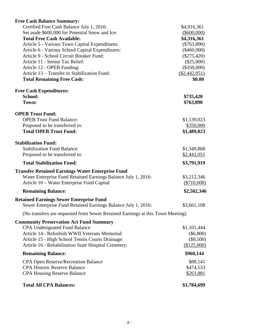| <b>Free Cash Balance Summary:</b>                                              |                  |
|--------------------------------------------------------------------------------|------------------|
| Certified Free Cash Balance July 1, 2016:                                      | \$4,916,361      |
| Set aside \$600,000 for Potential Snow and Ice:                                | $(\$600,000)$    |
| <b>Total Free Cash Available:</b>                                              | \$4,316,361      |
| Article 5 - Various Town Capital Expenditures:                                 | $(\$763,890)$    |
| Article 6 - Various School Capital Expenditures:                               | $(\$460,000)$    |
| Article 9 - School Circuit Breaker Fund:                                       | $(\$275,420)$    |
| Article 11 - Senior Tax Relief:                                                | $(\$25,000)$     |
| Article 12 - OPEB Funding:                                                     | $(\$350,000)$    |
| Article 13 - Transfer to Stabilization Fund:                                   | $(\$2,442,051)$  |
| <b>Total Remaining Free Cash:</b>                                              | \$0.00           |
| <b>Free Cash Expenditures:</b>                                                 |                  |
| School:                                                                        | \$735,420        |
| Town:                                                                          | \$763,890        |
| <b>OPEB Trust Fund:</b>                                                        |                  |
| <b>OPEB Trust Fund Balance:</b>                                                | \$1,139,023      |
| Proposed to be transferred in:                                                 | \$350,000        |
| <b>Total OPEB Trust Fund:</b>                                                  | \$1,489,023      |
| <b>Stabilization Fund:</b>                                                     |                  |
| <b>Stabilization Fund Balance:</b>                                             | \$1,349,868      |
| Proposed to be transferred in:                                                 | \$2,442,051      |
| <b>Total Stabilization Fund:</b>                                               | \$3,791,919      |
| <b>Transfer Retained Earnings Water Enterprise Fund</b>                        |                  |
| Water Enterprise Fund Retained Earnings Balance July 1, 2016:                  | \$3,212,346      |
| Article 10 – Water Enterprise Fund Capital                                     | (\$710,000)      |
| <b>Remaining Balance:</b>                                                      | \$2,502,346      |
| <b>Retained Earnings Sewer Enterprise Fund</b>                                 |                  |
| Sewer Enterprise Fund Retained Earnings Balance July 1, 2016:                  | \$3,661,108      |
| (No transfers are requested from Sewer Retained Earnings at this Town Meeting) |                  |
| <b>Community Preservation Act Fund Summary</b>                                 |                  |
| <b>CPA Undesignated Fund Balance</b>                                           | \$1,101,444      |
| Article 14 - Refurbish WWII Veterans Memorial:                                 | $(\$6,800)$      |
| Article 15 - High School Tennis Courts Drainage:                               | $(\$9,500)$      |
| Article 16 - Rehabilitation State Hospital Cemetery:                           | (\$125,000)      |
| <b>Remaining Balance:</b>                                                      | \$960,144        |
|                                                                                |                  |
| <b>CPA Open Reserve/Recreation Balance</b>                                     | \$88,141         |
| <b>CPA Historic Reserve Balance</b>                                            | \$474,533        |
| <b>CPA Housing Reserve Balance</b>                                             | <u>\$261,881</u> |
| <b>Total All CPA Balances:</b>                                                 | \$1,784,699      |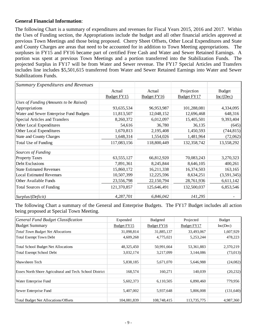### **General Financial Information**:

The following Chart is a summary of expenditures and revenues for Fiscal Years 2015, 2016 and 2017. Within the Uses of Funding section, the Appropriations include the budget and all other financial articles approved at previous Town Meetings and those being proposed. Cherry Sheet Offsets, Other Local Expenditures and State and County Charges are areas that need to be accounted for in addition to Town Meeting appropriations. The surpluses in FY15 and FY16 became part of certified Free Cash and Water and Sewer Retained Earnings. A portion was spent at previous Town Meetings and a portion transferred into the Stabilization Funds. The projected Surplus in FY17 will be from Water and Sewer revenue. The FY17 Special Articles and Transfers includes line includes \$5,501,615 transferred from Water and Sewer Retained Earnings into Water and Sewer Stabilizations Funds.

| <b>Summary Expenditures and Revenues</b> |             |                    |             |               |
|------------------------------------------|-------------|--------------------|-------------|---------------|
|                                          | Actual      | Actual             | Projection  | <b>Budget</b> |
|                                          | Budget FY15 | <b>Budget FY16</b> | Budget FY17 | Inc/(Dec)     |
| Uses of Funding (Amounts to be Raised)   |             |                    |             |               |
| Appropriations                           | 93,635,534  | 96,953,987         | 101,288,081 | 4,334,095     |
| Water and Sewer Enterprise Fund Budgets  | 11,813,507  | 12,048,152         | 12,696,468  | 648,316       |
| Special Articles and Transfers           | 8,260,372   | 6,012,097          | 15,405,501  | 9,393,404     |
| Other Local Expenditures                 | 54,616      | 36,780             | 36,135      | (645)         |
| Other Local Expenditures                 | 1,670,813   | 2,195,408          | 1,450,593   | (744, 815)    |
| <b>State and County Charges</b>          | 1,648,314   | 1,554,026          | 1,481,964   | (72,062)      |
| Total Use of Funding                     | 117,083,156 | 118,800,449        | 132,358,742 | 13,558,292    |
| Sources of Funding                       |             |                    |             |               |
| <b>Property Taxes</b>                    | 63,555,127  | 66,812,920         | 70,083,243  | 3,270,323     |
| Debt Exclusions                          | 7,891,361   | 8,245,844          | 8,646,105   | 400,261       |
| <b>State Estimated Revenues</b>          | 15,860,172  | 16,211,338         | 16,374,503  | 163,165       |
| <b>Local Estimated Revenues</b>          | 10,507,399  | 12,225,596         | 8,634,251   | (3,591,345)   |
| Other Available Funds                    | 23,556,798  | 22,150,794         | 28,761,936  | 6,611,142     |
| <b>Total Sources of Funding</b>          | 121,370,857 | 125,646,491        | 132,500,037 | 6,853,546     |
| Surplus/(Deficit)                        | 4,287,701   | 6,846,042          | 141,295     |               |

The following Chart a summary of the General and Enterprise Budgets. The FY17 Budget includes all action being proposed at Special Town Meeting.

| General Fund Budget Classification                       | Expended    | <b>Budgeted</b>    | Projected   | <b>Budget</b> |
|----------------------------------------------------------|-------------|--------------------|-------------|---------------|
| <b>Budget Summary</b>                                    | Budget FY15 | <b>Budget FY16</b> | Budget FY17 | Inc(Dec)      |
| <b>Total Town Budget Net Allocations</b>                 | 31,098,814  | 31,885,137         | 33,493,067  | 1,607,929     |
| <b>Total Exempt Town Debt</b>                            | 4,609,268   | 4,775,021          | 5,253,244   | 478,223       |
| <b>Total School Budget Net Allocations</b>               | 48,325,450  | 50,991,664         | 53,361,883  | 2,370,219     |
| <b>Total Exempt School Debt</b>                          | 3,032,174   | 3,217,099          | 3,144,086   | (73, 013)     |
| Shawsheen Tech                                           | 5,838,185   | 5,671,070          | 5,646,988   | (24,082)      |
| Essex North Shore Agricultural and Tech. School District | 168,574     | 160,271            | 140,039     | (20, 232)     |
| Water Enterprise Fund                                    | 5,602,373   | 6,110,505          | 6,890,460   | 779,956       |
| Sewer Enterprise Fund                                    | 5,407,002   | 5,937,648          | 5,806,008   | (131, 640)    |
| <b>Total Budget Net Allocations/Offsets</b>              | 104,081,839 | 108,748,415        | 113,735,775 | 4,987,360     |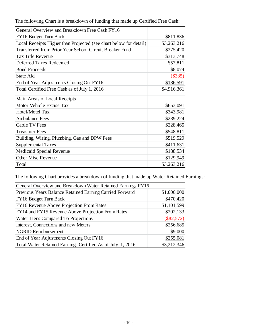The following Chart is a breakdown of funding that made up Certified Free Cash:

| General Overview and Breakdown Free Cash FY16                     |             |
|-------------------------------------------------------------------|-------------|
| FY16 Budget Turn Back                                             | \$811,836   |
| Local Receipts Higher than Projected (see chart below for detail) | \$3,263,216 |
| Transferred from Prior Year School Circuit Breaker Fund           | \$275,420   |
| <b>Tax Title Revenue</b>                                          | \$313,748   |
| <b>Deferred Taxes Redeemed</b>                                    | \$57,811    |
| <b>Bond Proceeds</b>                                              | \$8,074     |
| State Aid                                                         | $(\$335)$   |
| End of Year Adjustments Closing Out FY16                          | \$186,591   |
| Total Certified Free Cash as of July 1, 2016                      | \$4,916,361 |
| Main Areas of Local Receipts                                      |             |
| Motor Vehicle Excise Tax                                          | \$653,091   |
| Hotel/Motel Tax                                                   | \$343,981   |
| <b>Ambulance Fees</b>                                             | \$239,224   |
| <b>Cable TV Fees</b>                                              | \$228,465   |
| <b>Treasurer Fees</b>                                             | \$548,811   |
| Building, Wiring, Plumbing, Gas and DPW Fees                      | \$519,529   |
| <b>Supplemental Taxes</b>                                         | \$411,631   |
| Medicaid Special Revenue                                          | \$188,534   |
| <b>Other Misc Revenue</b>                                         | \$129,949   |
| Total                                                             | \$3,263,216 |

The following Chart provides a breakdown of funding that made up Water Retained Earnings:

| General Overview and Breakdown Water Retained Earnings FY16 |              |
|-------------------------------------------------------------|--------------|
| Previous Years Balance Retained Earning Carried Forward     | \$1,000,000  |
| FY16 Budget Turn Back                                       | \$470,420    |
| FY16 Revenue Above Projection From Rates                    | \$1,101,599  |
| FY14 and FY15 Revenue Above Projection From Rates           | \$202,133    |
| Water Liens Compared To Projections                         | $(\$82,572)$ |
| Interest, Connections and new Meters                        | \$256,685    |
| <b>NGRID Reimbursement</b>                                  | \$9,000      |
| End of Year Adjustments Closing Out FY16                    | \$255,081    |
| Total Water Retained Earnings Certified As of July 1, 2016  | \$3,212,346  |